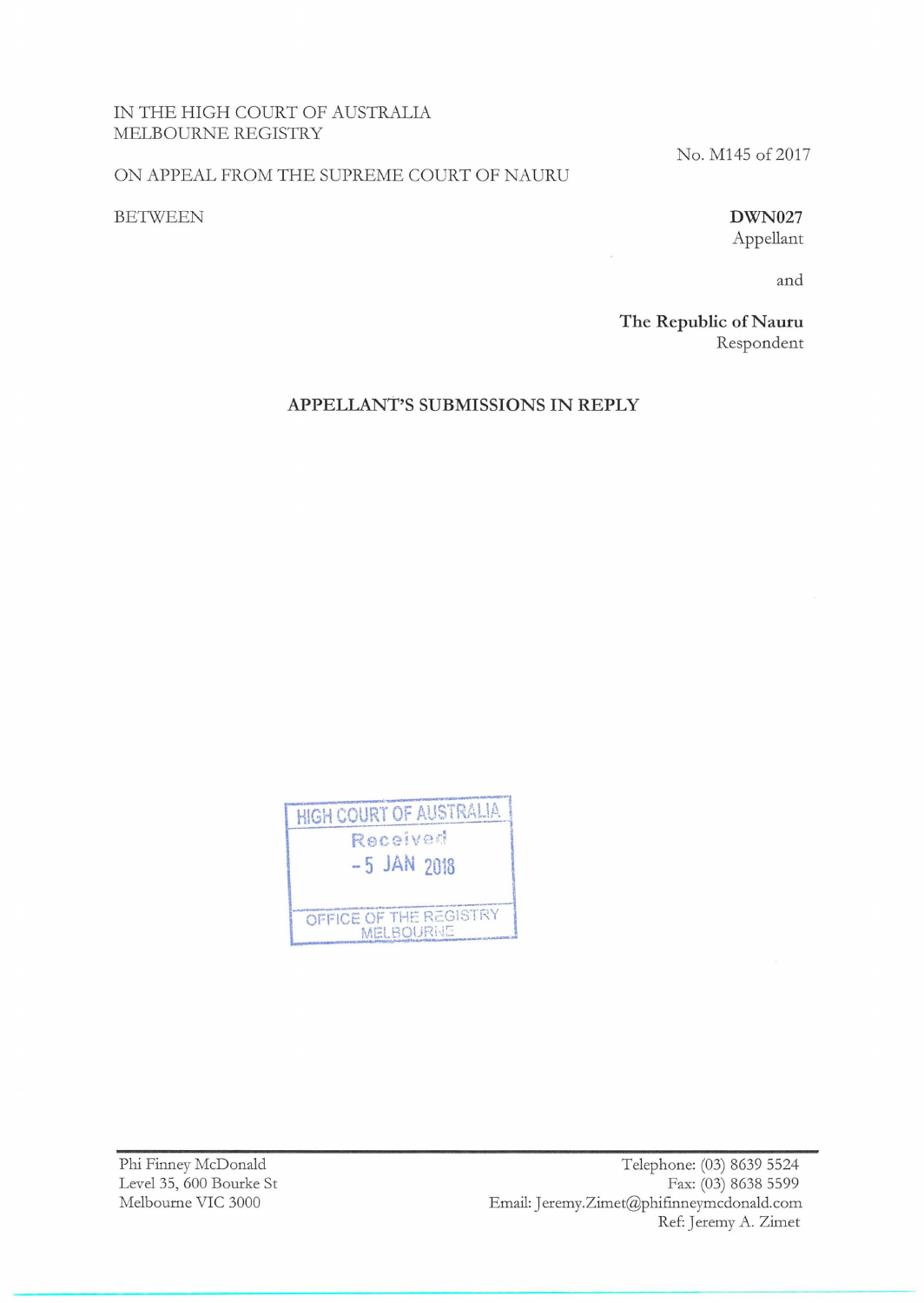## IN THE HIGH COURT OF AUSTRALIA MELBOURNE REGISTRY

#### ON APPEAL FROM THE SUPREME COURT OF NAURU

### BETWEEN

# No. M145 of 2017

**DWN027** 

Appellant

and

**The Republic of Nauru** Respondent

**APPELLANT'S SUBMISSIONS IN REPLY** 



Phi Finney McDonald Level35, 600 Bourke St Melbourne VIC 3000

Telephone: (03) 8639 5524 Fax: (03) 8638 5599 Email: Jeremy.Zimet@phifinneymcdonald.com Ref: Jeremy A. Zimet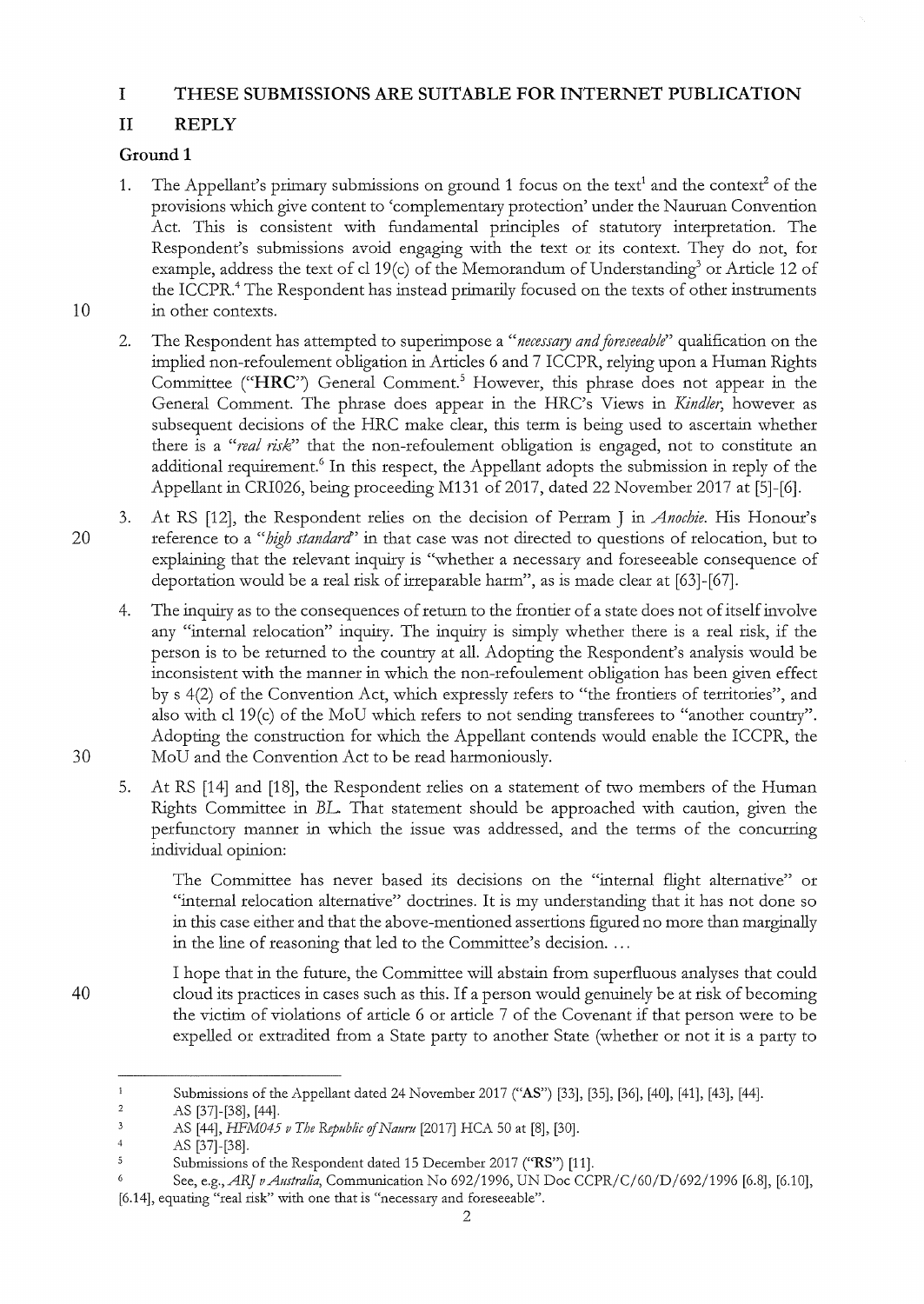## **I THESE SUBMISSIONS ARE SUITABLE FOR INTERNET PUBLICATION**

# **II REPLY**

## **Ground 1**

- 1. The Appellant's primary submissions on ground 1 focus on the text<sup>1</sup> and the context<sup>2</sup> of the provisions which give content to 'complementary protection' under the Nauruan Convention Act. This is consistent with fundamental principles of statutory interpretation. The Respondent's submissions avoid engaging with the text or its context. They do not, for example, address the text of cl 19(c) of the Memorandum of Understanding<sup>3</sup> or Article 12 of the ICCPR.<sup>4</sup> The Respondent has instead primarily focused on the texts of other instruments 10 in other contexts.
	- 2. The Respondent has attempted to superimpose a *"necessary and foreseeable"* qualification on the implied non-refoulement obligation in Articles 6 and 7 ICCPR, relying upon a Human Rights Committee **("HRC")** General Comment.5 However, this phrase does not appear in the General Comment. The phrase does appear in the HRC's Views in *Kindler,* however as subsequent decisions of the HRC make clear, this term is being used to ascertain whether there is a *"real risk*" that the non-refoulement obligation is engaged, not to constitute an additional requirement.<sup>6</sup> In this respect, the Appellant adopts the submission in reply of the Appellant in CRI026, being proceeding M131 of 2017, dated 22 November 2017 at [5]-[6].
- 3. At RS [12], the Respondent relies on the decision of Perram J in *Anochie.* His Honour's 20 reference to a *"high standard'* in that case was not directed to questions of relocation, but to explaining that the relevant inquiry is "whether a necessary and foreseeable consequence of deportation would be a real risk of irreparable harm", as is made clear at [63]-[67].
- 4. The inquiry as to the consequences of return to the frontier of a state does not of itself involve any "internal relocation" inquity. The inquiry is simply whethet thete is a real tisk, if the petson is to be teturned to the country at all. Adopting the Respondent's analysis would be inconsistent with the mannet in which the non-tefoulement obligation has been given effect by s 4(2) of the Convention Act, which expressly refers to "the frontiers of territories", and also with cl 19(c) of the MoU which refers to not sending transferees to "another country". Adopting the construction for which the Appellant contends would enable the ICCPR, the 30 MoU and the Convention Act to be tead harmoniously.
	- 5. At RS [14] and [18], the Respondent relies on a statement of two members of the Human Rights Committee in *BL* That statement should be apptaached with caution, given the perfunctory manner in which the issue was addressed, and the terms of the concurring individual opinion:

The Committee has nevet based its decisions on the "internal flight alternative" ot "internal relocation alternative" doctrines. It is my understanding that it has not done so in this case eithet and that the above-mentioned assettions figured no mote than matginally in the line of teasoning that led to the Committee's decision ....

40 I hope that in the future, the Committee will abstain from superfluous analyses that could cloud its ptactices in cases such as this. If a petson would genuinely be at tisk of becoming the victim of violations of atticle 6 ot atticle 7 of the Covenant if that petson wete to be expelled or extradited from a State party to another State (whether or not it is a party to

 $\mathbf 1$ Submissions of the Appellant dated 24 November 2017 ("AS") [33], [35], [36], [40], [41], [43], [44].

 $\overline{c}$ AS [37]-[38], [44] .

 $\overline{\mathbf{3}}$ AS [44], *HFM045 v The Republic of Nauru* [2017] HCA 50 at [8], [30].

 $\frac{4}{3}$ AS [37]-[38].

<sup>5</sup> Submissions of the Respondent dated 15 December 2017 ("RS") [11].

See, *e.g.,ARJ vAustra/ia,* Communication No 692/1996, UN Doe CCPR/C/60/D/692/1996 [6.8], [6.10], [6.14], equating "real risk" with one that is "necessaty and foreseeable".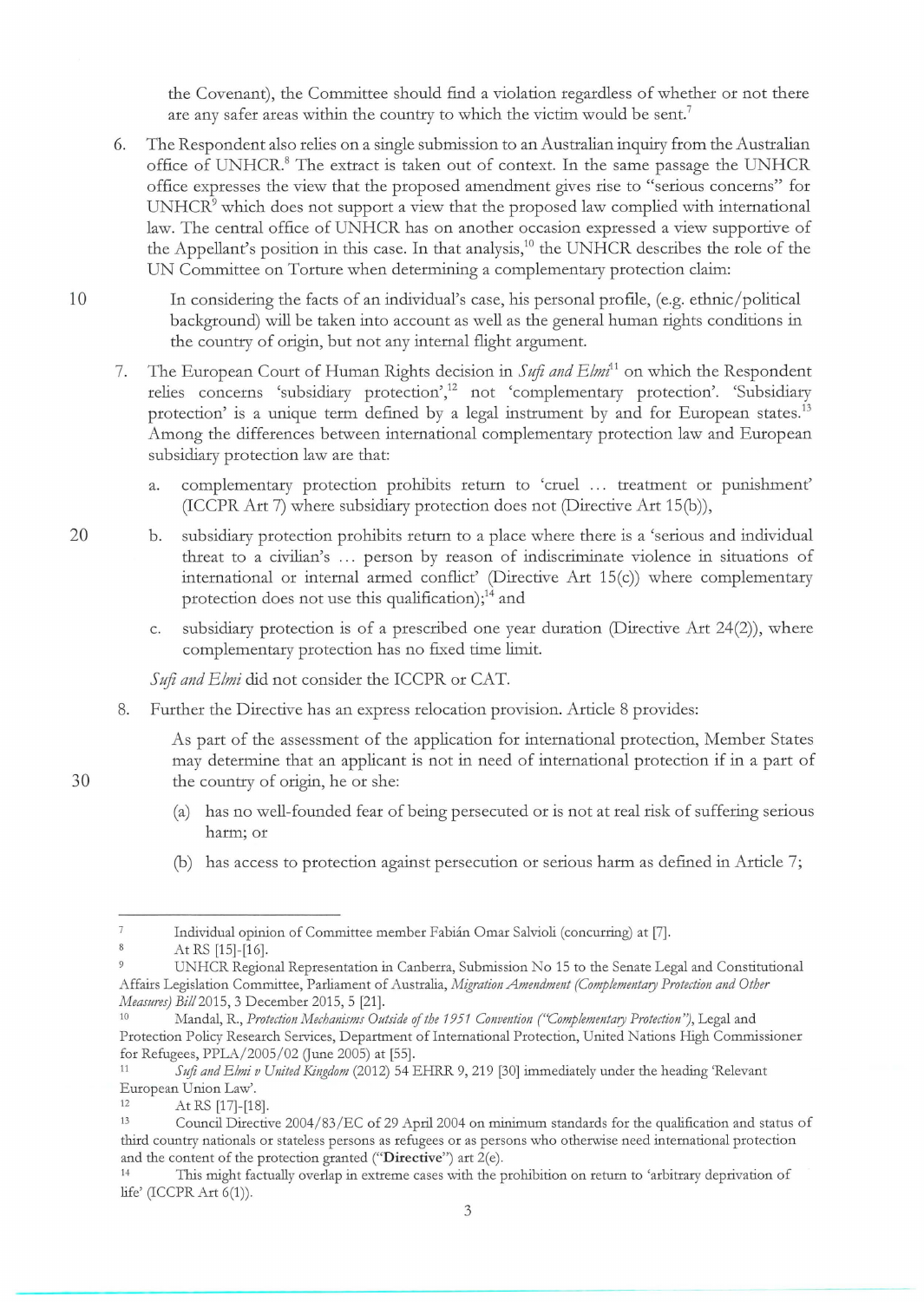the Covenant), the Committee should find a violation regardless of whether or not there are any safer areas within the country to which the victim would be sent.<sup>7</sup>

- 6. The Respondent also relies on a single submission to an Australian inquiry from the Australian office of UNHCR.<sup>8</sup> The extract is taken out of context. In the same passage the UNHCR office expresses the view that the proposed amendment gives rise to "serious concerns" for  $UNHCR<sup>9</sup>$  which does not support a view that the proposed law complied with international law. The central office of UNHCR has on another occasion expressed a view supportive of the Appellant's position in this case. In that analysis,<sup>10</sup> the UNHCR describes the role of the UN Committee on Torture when determining a complementary protection claim:
- 10 In considering the facts of an individual's case, his personal profile, (e.g. ethnic/ political background) will be taken into account as well as the general human rights conditions in the country of origin, but not any internal flight argument.
	- 7. The European Court of Human Rights decision in *Sufi and Elmi11* on which the Respondent relies concerns 'subsidiary protection',<sup>12</sup> not 'complementary protection'. 'Subsidiary protection' is a unique term defined by a legal instrument by and for European states.<sup>13</sup> Among the differences between international complementary protection law and European subsidiary protection law are that:
		- a. complementary protection prohibits return to 'cruel ... treatment or punishment' (ICCPR Art 7) where subsidiary protection does not (Directive Art 15(b)),
- 20 b. subsidiary protection prohibits return to a place where there is a 'serious and individual threat to a civilian's ... person by reason of indiscriminate violence in situations of international or internal armed conflict' (Directive Art 15(c)) where complementary protection does not use this qualification); $^{14}$  and
	- c. subsidiary protection is of a prescribed one year duration (Directive Art 24(2)), where complementary protection has no fixed time limit.

*Sufi and Elmi* did not consider the ICCPR or CAT.

8. Further the Directive has an express relocation provision. Article 8 provides:

As part of the assessment of the application for international protection, Member States may determine that an applicant is not in need of international protection if in a part of 30 the country of origin, he or she:

- (a) has no well-founded fear of being persecuted or is not at real risk of suffering serious harm; or
- (b) has access to protection against persecution or serious harm as defined in Article 7;

 $\overline{7}$ Individual opinion of Committee member Fabian Omar Salvioli (concurring) at [7].

<sup>8</sup> At RS [15]-[16].

 $\overline{9}$ UNHCR Regional Representation in Canberra, Submission No 15 to the Senate Legal and Constitutional Affairs Legislation Committee, Parliament of Australia, *Migration Ammdmmt (Complementary Protection and Other Measures) Bill* 2015, 3 December 2015, 5 [21].<br><sup>10</sup> Mandal, R., *Protection Mechanisms Outside of the 1951 Convention ("Complementary Protection")*, Legal and

Protection Policy Research Services, Department of International Protection, United Nations High Commissioner for Refugees, PPLA/ 2005/ 02 Gune 2005) at [55]. 11 *S* ufi *and Elmi v United Kingdom* (2012) 54 EHRR 9, 219 [30] immediately under the heading 'Relevant

European Union Law'.<br>12 At RS [17]-[18].<br>13 Council Directive 2004/83/EC of 29 April 2004 on minimum standards for the qualification and status of

third country nationals or stateless persons as refugees or as persons who otherwise need international protection and the content of the protection granted ("**Directive**") art 2(e).<br><sup>14</sup> This might factually overlap in extreme cases with the prohibition on return to 'arbitrary deprivation of

life' (lCCPR Art 6(1)).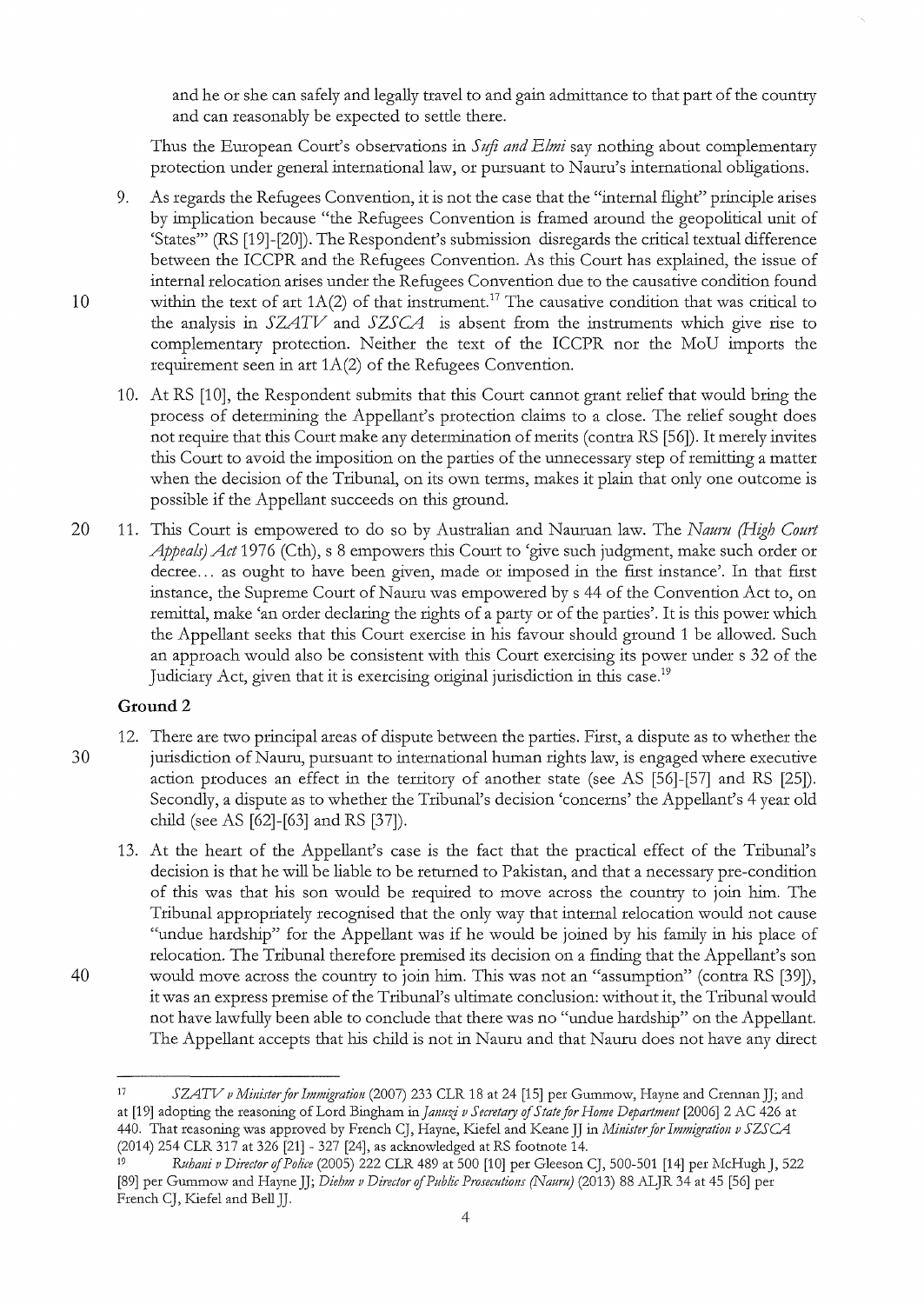and he or she can safely and legally travel to and gain admittance to that part of the country and can reasonably be expected to setde there.

Thus the European Court's observations in *Suji and Elmi* say nothing about complementary protection under general international law, or pursuant to Naum's international obligations.

- 9. As regards the Refugees Convention, it is not the case that the "internal flight" principle arises by implication because "the Refugees Convention is framed around the geopolitical unit of 'States"' (RS [19]-[20]). The Respondent's submission disregards the critical textual difference between the ICCPR and the Refugees Convention. As this Court has explained, the issue of internal relocation arises under the Refugees Convention due to the causative condition found 10 within the text of art  $1A(2)$  of that instrument.<sup>17</sup> The causative condition that was critical to the analysis in *SZATV* and *SZSCA* is absent from the instruments which give rise to complementary protection. Neither the text of the ICCPR nor the MoU imports the requirement seen in art 1A(2) of the Refugees Convention.
	- 10. At RS [10], the Respondent submits that this Court cannot grant relief that would bring the process of detennining the Appellant's protection claims to a close. The relief sought does not require that this Court make any determination of merits (contra RS [56]). It merely invites this Court to avoid the imposition on the parties of the unnecessary step of remitting a matter when the decision of the Tribunal, on its own terms, makes it plain that only one outcome is possible if the Appellant succeeds on this ground.
- 20 11. This Court is empowered to do so by Australian and Nauman law. The *Nauru (High Court Appeals) Act* 1976 (Cth), s 8 empowers this Court to 'give such judgment, make such order or decree... as ought to have been given, made or imposed in the first instance'. In that first instance, the Supreme Court of Nauru was empowered by s 44 of the Convention Act to, on remittal, make 'an order declaring the rights of a party or of the parties'. It is this power which the Appellant seeks that this Court exercise in his favour should ground 1 be allowed. Such an approach would also be consistent with this Court exercising its power under s 32 of the Judiciary Act, given that it is exercising original jurisdiction in this case.<sup>19</sup>

## **Ground2**

- 12. There are two principal areas of dispute between the parties. First, a dispute as to whether the 30 jurisdiction of Nauru, pursuant to international human rights law, is engaged where executive action produces an effect in the territory of another state (see AS [56]-[57] and RS [25]). Secondly, a dispute as to whether the Tribunal's decision 'concerns' the Appellant's 4 year old child (see AS [62]-[63] and RS [37]).
- 13. At the heart of the Appellant's case is the fact that the practical effect of the Tribunal's decision is that he will be liable to be returned to Pakistan, and that a necessary pre-condition of this was that his son would be required to move across the country to join him. The Tribunal appropriately recognised that the only way that internal relocation would not cause "undue hardship" for the Appellant was if he would be joined by his family in his place of relocation. The Tribunal therefore premised its decision on a finding that the Appellant's son 40 would move across the country to join him. This was not an "assumption" (contra RS [39]), it was an express premise of the Tribunal's ultimate conclusion: without it, the Tribunal would not have lawfully been able to conclude that there was no "undue hardship" on the Appellant. The Appellant accepts that his child is not in Naum and that Nauru does not have any direct

<sup>17</sup>*SZATV v Minister for Immigration* (2007) 233 CLR 18 at 24 [15] per Gummow, Hayne and Crennan JJ; and at [19] adopting the reasoning of Lord Bingham in *Jmzuzj vS ecretmy* of *State for Home Departmmt* [2006] 2 AC 426 at 440. That reasoning was approved by French CJ, Hayne, Kiefel and Keane JJ in *Minister for Immigration v SZSCA* (2014) 254 CLR 317 at 326 [21] - 327 [24], as acknowledged at RS footnote 14.

Ruhani v Director of Police (2005) 222 CLR 489 at 500 [10] per Gleeson CJ, 500-501 [14] per McHugh J, 522 [89] per Gummow and Hayne JJ; *Diehm v Director* of *Public Prosecutions (Nauru)* (2013) 88 ALJR 34 at 45 [56] per French CJ, Kiefel and Bell JJ.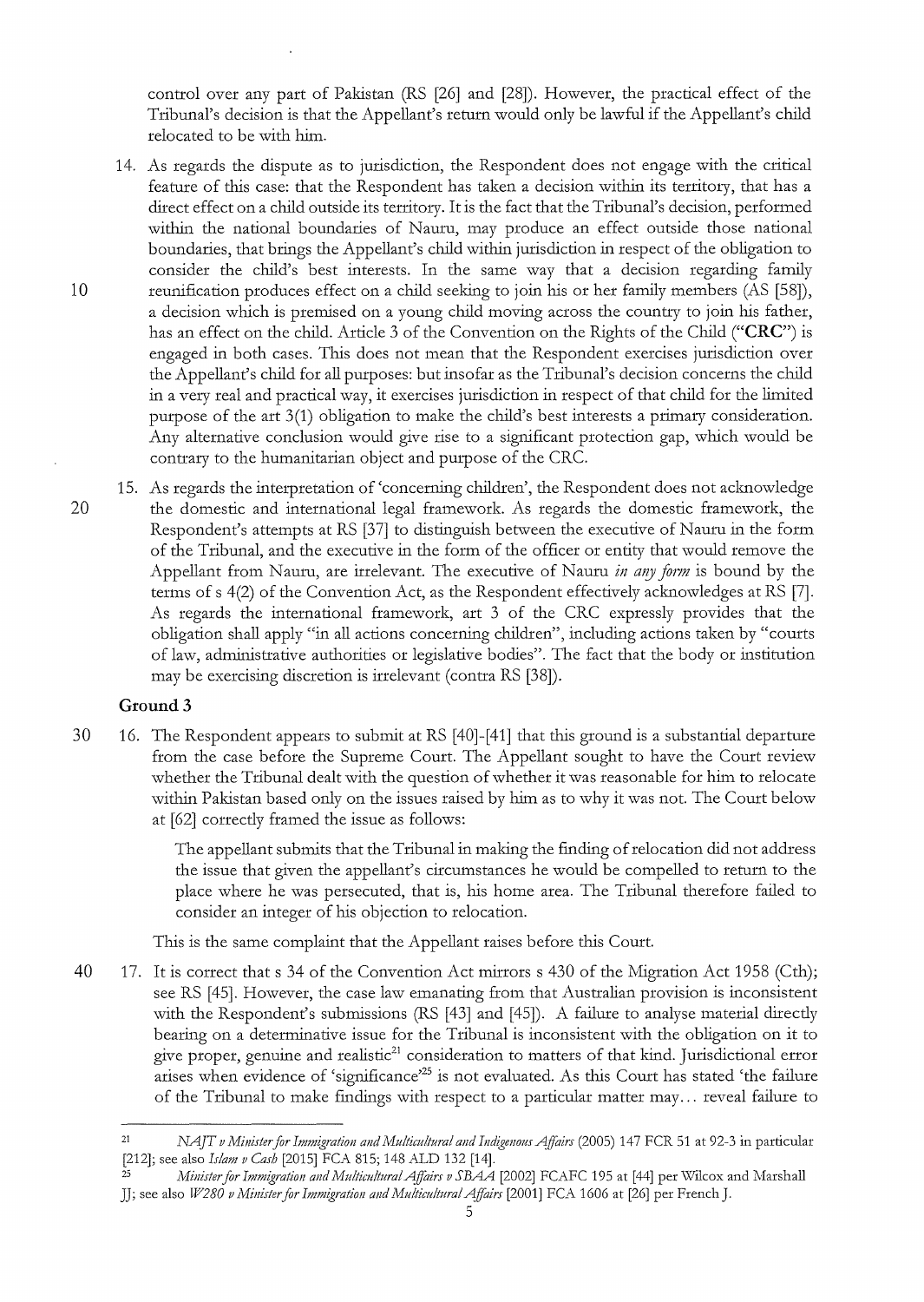control over any part of Pakistan (RS [26] and [28]). However, the practical effect of the Tribunal's decision is that the Appellant's return would only be lawful if the Appellant's child relocated to be with him.

14. As regards the dispute as to jurisdiction, the Respondent does not engage with the critical feature of this case: that the Respondent has taken a decision within its territory, that has a direct effect on a child outside its territory. It is the fact that the Tribunal's decision, performed within the national boundaries of Nauru, may produce an effect outside those national boundaries, that brings the Appellant's child within jurisdiction in respect of the obligation to consider the child's best interests. In the same way that a decision regarding family 10 reunification produces effect on a child seeking to join his or her family members (AS [58]), a decision which is premised on a young child moving across the country to join his father, has an effect on the child. Article 3 of the Convention on the Rights of the Child **("CRC")** is engaged in both cases. This does not mean that the Respondent exercises jurisdiction over the Appellant's child for all purposes: but insofar as the Tribunal's decision concerns the child in a very real and practical way, it exercises jurisdiction in respect of that child for the limited purpose of the art 3(1) obligation to make the child's best interests a primary consideration. Any alternative conclusion would give rise to a significant protection gap, which would be contrary to the humanitarian object and purpose of the CRC.

15. As regards the interpretation of 'concerning children', the Respondent does not acknowledge 20 the domestic and international legal framework. As regards the domestic framework, the Respondent's attempts at RS [37] to distinguish between the executive of Nauru in the form of the Tribunal, and the executive in the form of the officer or entity that would remove the Appellant from Nauru, are irrelevant. The executive of Nauru *in any form* is bound by the terms of s 4(2) of the Convention Act, as the Respondent effectively acknowledges at RS [7]. As regards the international framework, art 3 of the CRC expressly provides that the obligation shall apply "in all actions concerning children", including actions taken by "courts of law, adrninistrative authorities or legislative bodies". The fact that the body or institution may be exercising discretion is irrelevant (contra RS [38]).

### **Ground3**

30 16. The Respondent appears to submit at RS [40]-[41] that this ground is a substantial departure from the case before the Supreme Court. The Appellant sought to have the Court review whether the Tribunal dealt with the question of whether it was reasonable for him to relocate within Pakistan based only on the issues raised by him as to why it was not. The Court below at [62] correcdy framed the issue as follows:

> The appellant submits that the Tribunal in making the finding of relocation did not address the issue that given the appellant's circumstances he would be compelled to return to the place where he was persecuted, that is, his home area. The Tribunal therefore failed to consider an integer of his objection to relocation.

This is the same complaint that the Appellant raises before this Court.

40 17. It is correct that s 34 of the Convention Act mirrors s 430 of the Migration Act 1958 (Cth); seeRS [45]. However, the case law emanating from that Australian provision is inconsistent with the Respondent's submissions (RS [43] and [45]). A failure to analyse material directly bearing on a determinative issue for the Tribunal is inconsistent with the obligation on it to give proper, genuine and realistic $21$  consideration to matters of that kind. Jurisdictional error arises when evidence of 'significance'25 is not evaluated. As this Court has stated 'the failure of the Tribunal to make findings with respect to a particular matter may ... reveal failure to

<sup>21</sup>*NAJT v Ministerfor Immigration and Mu!ticultura! and Indigenous Affairs* (2005) 147 FCR 51 at 92-3 in particular [212]; see also *Islam v Cash* [2015] FCA 815; 148 ALD 132 [14].<br><sup>25</sup> *Minister for Immigration and Multicultural Affairs v SBAA* [2002] FCAFC 195 at [44] per Wilcox and Marshall

JJ; see also *W280 v Minister for Immigration and Multicultural Affairs* [2001] FCA 1606 at [26] per French J.